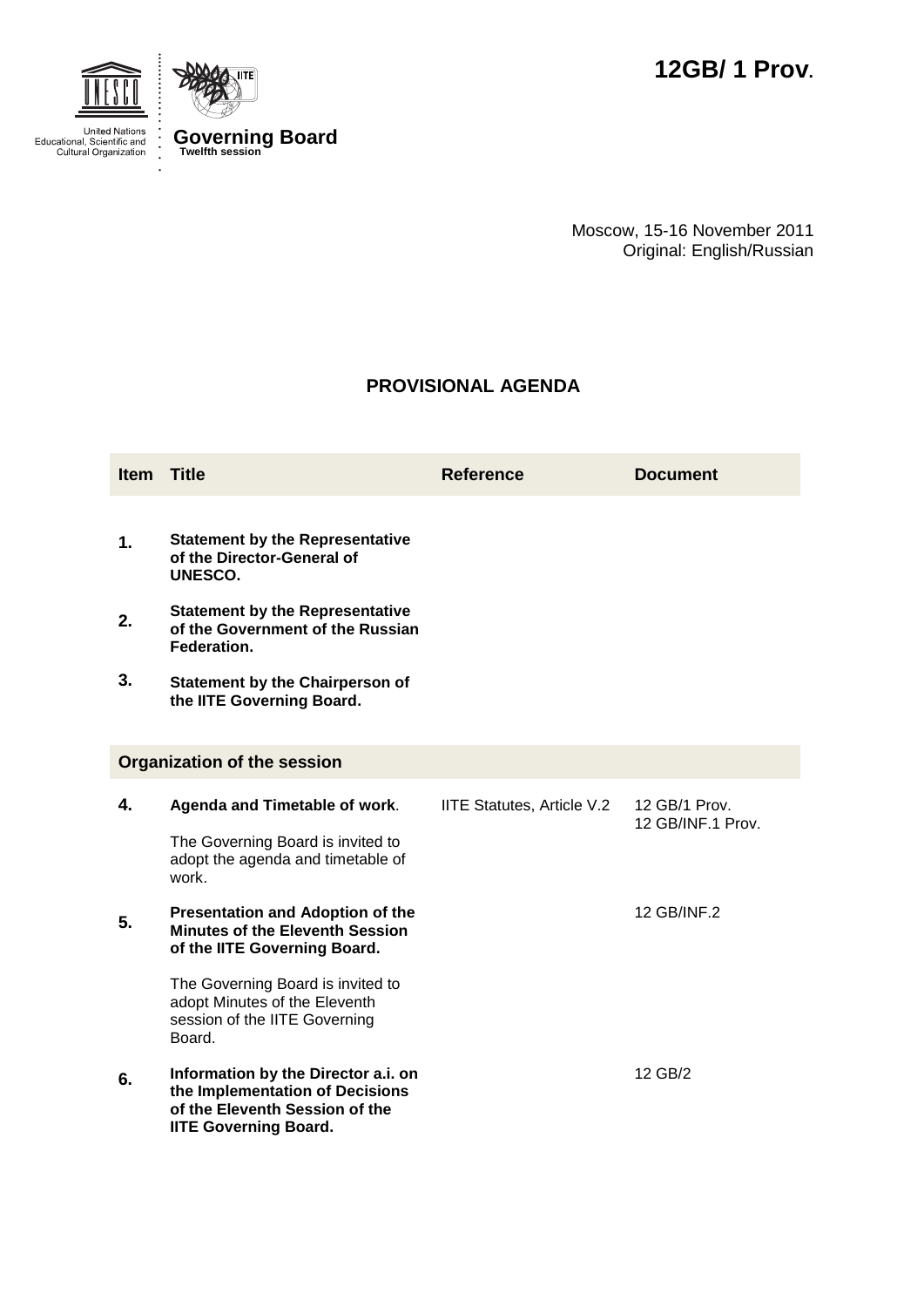



Moscow, 15-16 November 2011 Original: English/Russian

## **PROVISIONAL AGENDA**

| <b>Item</b> Title                  |                                                                                                                                          | <b>Reference</b>           | <b>Document</b>                    |  |  |
|------------------------------------|------------------------------------------------------------------------------------------------------------------------------------------|----------------------------|------------------------------------|--|--|
| 1.                                 | <b>Statement by the Representative</b><br>of the Director-General of<br>UNESCO.                                                          |                            |                                    |  |  |
| 2.                                 | <b>Statement by the Representative</b><br>of the Government of the Russian<br>Federation.                                                |                            |                                    |  |  |
| 3.                                 | <b>Statement by the Chairperson of</b><br>the IITE Governing Board.                                                                      |                            |                                    |  |  |
| <b>Organization of the session</b> |                                                                                                                                          |                            |                                    |  |  |
| 4.                                 | Agenda and Timetable of work.                                                                                                            | IITE Statutes, Article V.2 | 12 GB/1 Prov.<br>12 GB/INF.1 Prov. |  |  |
|                                    | The Governing Board is invited to<br>adopt the agenda and timetable of<br>work.                                                          |                            |                                    |  |  |
| 5.                                 | <b>Presentation and Adoption of the</b><br><b>Minutes of the Eleventh Session</b><br>of the IITE Governing Board.                        |                            | 12 GB/INF.2                        |  |  |
|                                    | The Governing Board is invited to<br>adopt Minutes of the Eleventh<br>session of the IITE Governing<br>Board.                            |                            |                                    |  |  |
| 6.                                 | Information by the Director a.i. on<br>the Implementation of Decisions<br>of the Eleventh Session of the<br><b>IITE Governing Board.</b> |                            | 12 GB/2                            |  |  |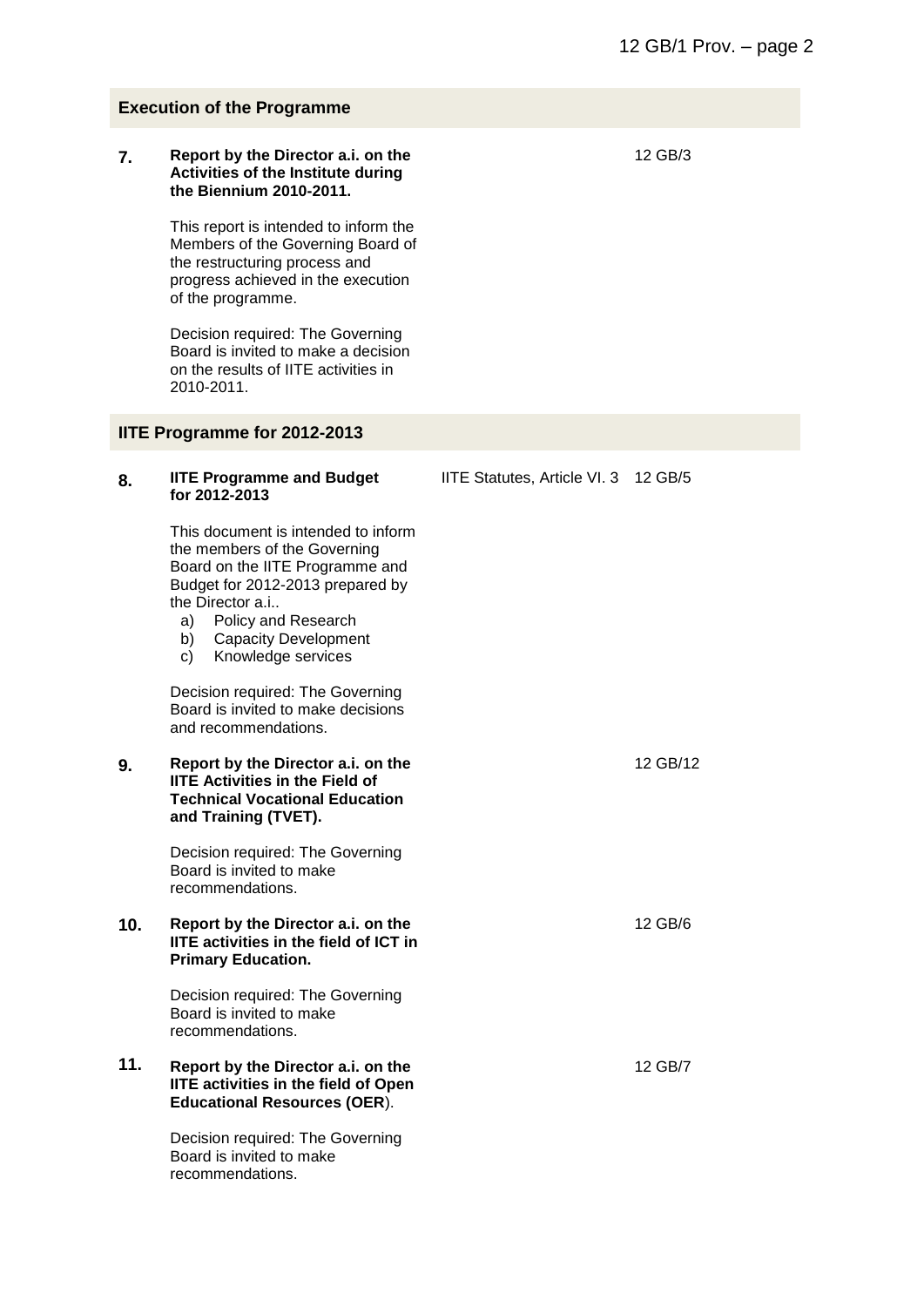| <b>Execution of the Programme</b> |                                                                                                                                                                                                                                                              |                                      |          |  |
|-----------------------------------|--------------------------------------------------------------------------------------------------------------------------------------------------------------------------------------------------------------------------------------------------------------|--------------------------------------|----------|--|
| 7.                                | Report by the Director a.i. on the<br><b>Activities of the Institute during</b><br>the Biennium 2010-2011.                                                                                                                                                   |                                      | 12 GB/3  |  |
|                                   | This report is intended to inform the<br>Members of the Governing Board of<br>the restructuring process and<br>progress achieved in the execution<br>of the programme.                                                                                       |                                      |          |  |
|                                   | Decision required: The Governing<br>Board is invited to make a decision<br>on the results of IITE activities in<br>2010-2011.                                                                                                                                |                                      |          |  |
|                                   | <b>IITE Programme for 2012-2013</b>                                                                                                                                                                                                                          |                                      |          |  |
| 8.                                | <b>IITE Programme and Budget</b><br>for 2012-2013                                                                                                                                                                                                            | IITE Statutes, Article VI. 3 12 GB/5 |          |  |
|                                   | This document is intended to inform<br>the members of the Governing<br>Board on the IITE Programme and<br>Budget for 2012-2013 prepared by<br>the Director a.i<br>Policy and Research<br>a)<br><b>Capacity Development</b><br>b)<br>Knowledge services<br>c) |                                      |          |  |
|                                   | Decision required: The Governing<br>Board is invited to make decisions<br>and recommendations.                                                                                                                                                               |                                      |          |  |
| 9.                                | Report by the Director a.i. on the<br><b>IITE Activities in the Field of</b><br><b>Technical Vocational Education</b><br>and Training (TVET).                                                                                                                |                                      | 12 GB/12 |  |
|                                   | Decision required: The Governing<br>Board is invited to make<br>recommendations.                                                                                                                                                                             |                                      |          |  |
| 10.                               | Report by the Director a.i. on the<br><b>IITE activities in the field of ICT in</b><br><b>Primary Education.</b>                                                                                                                                             |                                      | 12 GB/6  |  |
|                                   | Decision required: The Governing<br>Board is invited to make<br>recommendations.                                                                                                                                                                             |                                      |          |  |
| 11.                               | Report by the Director a.i. on the<br><b>IITE activities in the field of Open</b><br><b>Educational Resources (OER).</b>                                                                                                                                     |                                      | 12 GB/7  |  |
|                                   | Decision required: The Governing<br>Board is invited to make<br>recommendations.                                                                                                                                                                             |                                      |          |  |